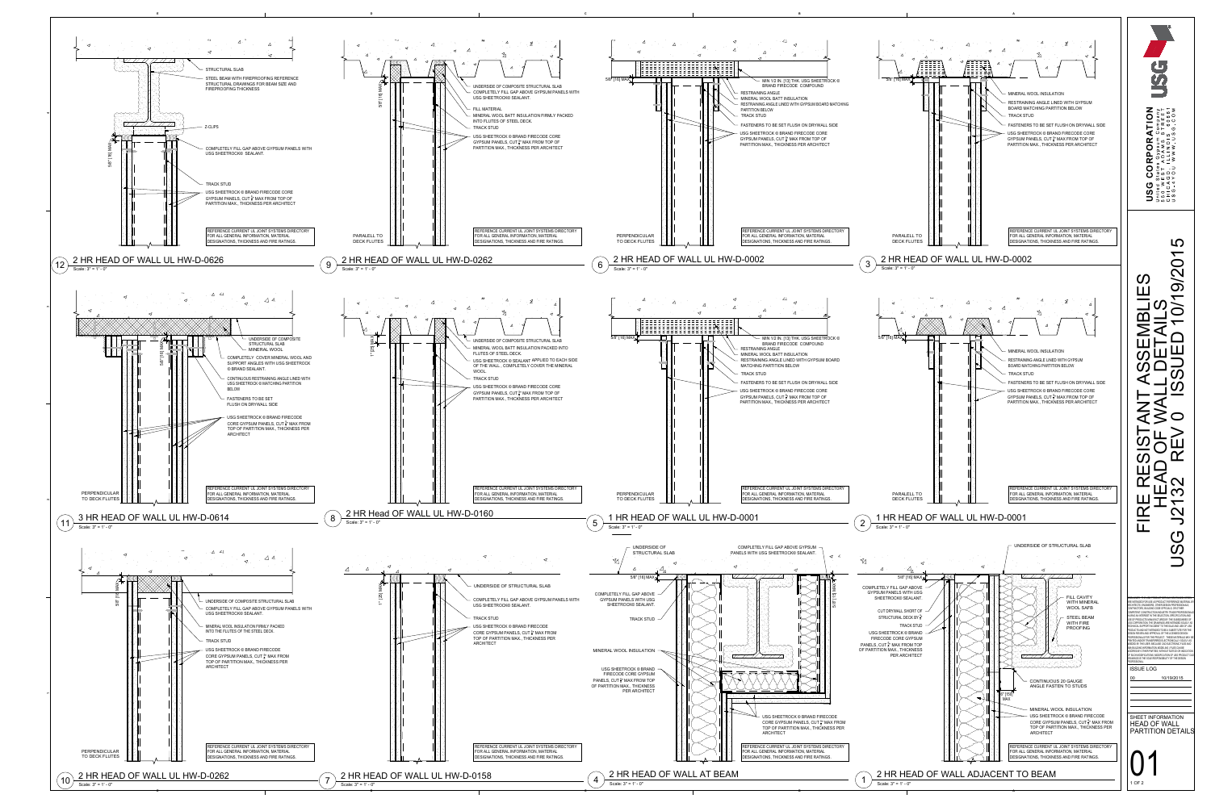